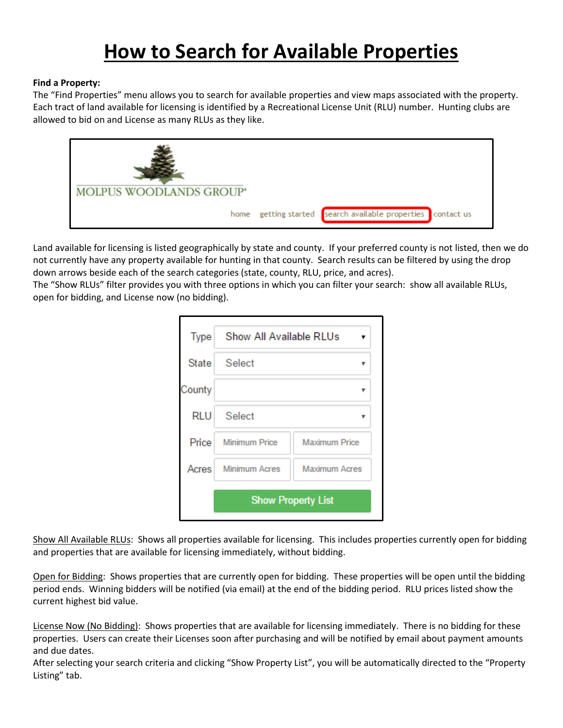# **How to Search for Available Properties**

## **Find a Property:**

The "Find Properties" menu allows you to search for available properties and view maps associated with the property. Each tract of land available for licensing is identified by a Recreational License Unit (RLU) number. Hunting clubs are allowed to bid on and License as many RLUs as they like.



Land available for licensing is listed geographically by state and county. If your preferred county is not listed, then we do not currently have any property available for hunting in that county. Search results can be filtered by using the drop down arrows beside each of the search categories (state, county, RLU, price, and acres).

The "Show RLUs" filter provides you with three options in which you can filter your search: show all available RLUs, open for bidding, and License now (no bidding).

| <b>Type</b> | Show All Available RLUs   |                      |
|-------------|---------------------------|----------------------|
| State       | <b>Select</b>             |                      |
| County      |                           |                      |
| rlu         | <b>Select</b>             |                      |
| Price       | <b>Minimum Price</b>      | <b>Maximum Price</b> |
| Acres       | <b>Minimum Acres</b>      | <b>Maximum Acres</b> |
|             | <b>Show Property List</b> |                      |

Show All Available RLUs: Shows all properties available for licensing. This includes properties currently open for bidding and properties that are available for licensing immediately, without bidding.

Open for Bidding: Shows properties that are currently open for bidding. These properties will be open until the bidding period ends. Winning bidders will be notified (via email) at the end of the bidding period. RLU prices listed show the current highest bid value.

License Now (No Bidding): Shows properties that are available for licensing immediately. There is no bidding for these properties. Users can create their Licenses soon after purchasing and will be notified by email about payment amounts and due dates.

After selecting your search criteria and clicking "Show Property List", you will be automatically directed to the "Property Listing" tab.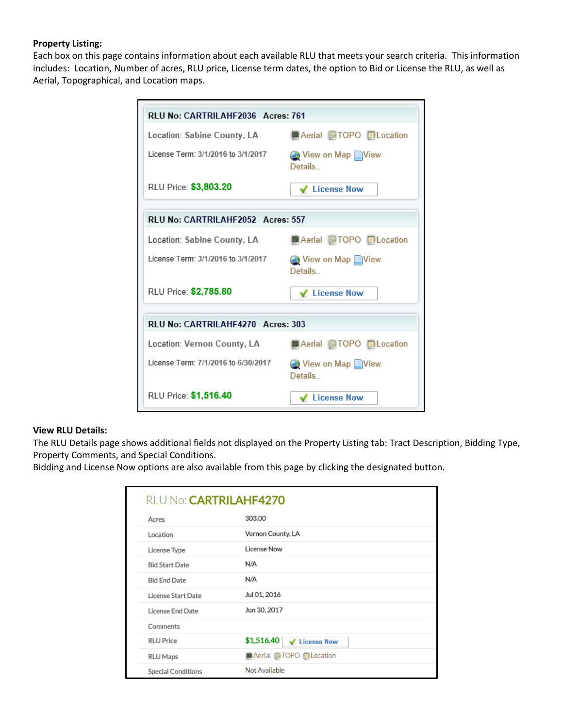## **Property Listing:**

Each box on this page contains information about each available RLU that meets your search criteria. This information includes: Location, Number of acres, RLU price, License term dates, the option to Bid or License the RLU, as well as Aerial, Topographical, and Location maps.

| RLU No: CARTRILAHF2036 Acres: 761   |                                    |  |
|-------------------------------------|------------------------------------|--|
| Location: Sabine County, LA         | <b>MAerial</b> TOPO Location       |  |
| License Term: 3/1/2016 to 3/1/2017  | View on Map View<br><b>Details</b> |  |
| RLU Price: \$3,803.20               | ✔ License Now                      |  |
| RLU No: CARTRILAHF2052 Acres: 557   |                                    |  |
| Location: Sabine County, LA         | Aerial ITOPO DLocation             |  |
| License Term: 3/1/2016 to 3/1/2017  | ◯ View on Map Niew<br>Details      |  |
| RLU Price: \$2,785.80               | ↓ License Now                      |  |
| RLU No: CARTRILAHF4270 Acres: 303   |                                    |  |
| Location: Vernon County, LA         | <b>MAerial MTOPO DLocation</b>     |  |
| License Term: 7/1/2016 to 6/30/2017 | View on Map View<br>Details        |  |
| RLU Price: \$1,516.40               | ✔ License Now                      |  |

### **View RLU Details:**

The RLU Details page shows additional fields not displayed on the Property Listing tab: Tract Description, Bidding Type, Property Comments, and Special Conditions.

Bidding and License Now options are also available from this page by clicking the designated button.

| RLU No: CARTRILAHF4270    |                                          |  |
|---------------------------|------------------------------------------|--|
| Acres                     | 303,00                                   |  |
| Location                  | Vernon County, LA                        |  |
| License Type              | <b>License Now</b>                       |  |
| <b>Bid Start Date</b>     | N/A                                      |  |
| <b>Bid End Date</b>       | N/A                                      |  |
| License Start Date        | Jul 01, 2016                             |  |
| License End Date          | Jun 30, 2017                             |  |
| Comments                  |                                          |  |
| <b>RLU Price</b>          | \$1,516.40<br>✔ License Now              |  |
| <b>RLU Maps</b>           | <b>El Aerial</b> TOPO <b>El Location</b> |  |
| <b>Special Conditions</b> | Not Available                            |  |